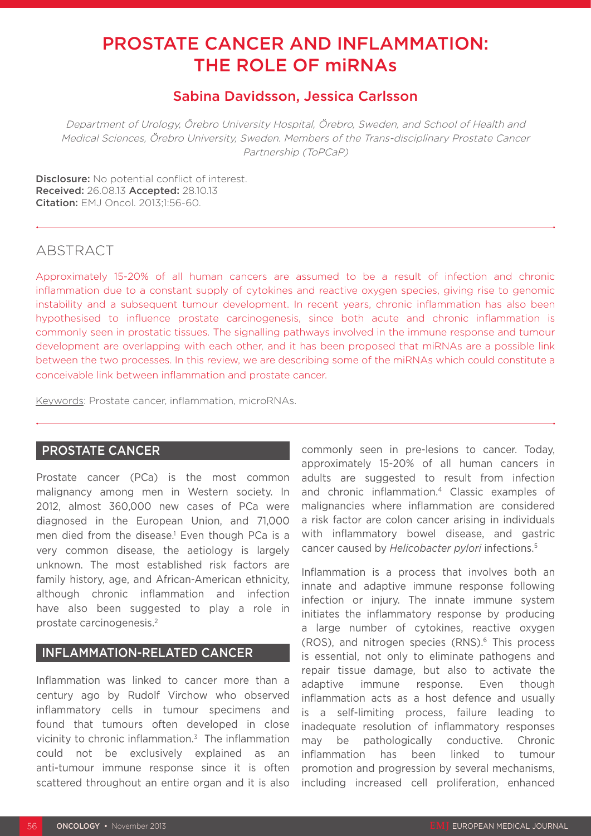# PROSTATE CANCER AND INFLAMMATION: THE ROLE OF miRNAs

# Sabina Davidsson, Jessica Carlsson

Department of Urology, Örebro University Hospital, Örebro, Sweden, and School of Health and Medical Sciences, Örebro University, Sweden. Members of the Trans-disciplinary Prostate Cancer Partnership (ToPCaP)

Disclosure: No potential conflict of interest. Received: 26.08.13 Accepted: 28.10.13 Citation: EMJ Oncol. 2013;1:56-60.

# ABSTRACT

Approximately 15-20% of all human cancers are assumed to be a result of infection and chronic inflammation due to a constant supply of cytokines and reactive oxygen species, giving rise to genomic instability and a subsequent tumour development. In recent years, chronic inflammation has also been hypothesised to influence prostate carcinogenesis, since both acute and chronic inflammation is commonly seen in prostatic tissues. The signalling pathways involved in the immune response and tumour development are overlapping with each other, and it has been proposed that miRNAs are a possible link between the two processes. In this review, we are describing some of the miRNAs which could constitute a conceivable link between inflammation and prostate cancer.

Keywords: Prostate cancer, inflammation, microRNAs.

## PROSTATE CANCER

Prostate cancer (PCa) is the most common malignancy among men in Western society. In 2012, almost 360,000 new cases of PCa were diagnosed in the European Union, and 71,000 men died from the disease.<sup>1</sup> Even though PCa is a very common disease, the aetiology is largely unknown. The most established risk factors are family history, age, and African-American ethnicity, although chronic inflammation and infection have also been suggested to play a role in prostate carcinogenesis.2

### INFLAMMATION-RELATED CANCER

Inflammation was linked to cancer more than a century ago by Rudolf Virchow who observed inflammatory cells in tumour specimens and found that tumours often developed in close vicinity to chronic inflammation.3 The inflammation could not be exclusively explained as an anti-tumour immune response since it is often scattered throughout an entire organ and it is also commonly seen in pre-lesions to cancer. Today, approximately 15-20% of all human cancers in adults are suggested to result from infection and chronic inflammation.4 Classic examples of malignancies where inflammation are considered a risk factor are colon cancer arising in individuals with inflammatory bowel disease, and gastric cancer caused by *Helicobacter pylori* infections.5

Inflammation is a process that involves both an innate and adaptive immune response following infection or injury. The innate immune system initiates the inflammatory response by producing a large number of cytokines, reactive oxygen (ROS), and nitrogen species (RNS).<sup>6</sup> This process is essential, not only to eliminate pathogens and repair tissue damage, but also to activate the adaptive immune response. Even though inflammation acts as a host defence and usually is a self-limiting process, failure leading to inadequate resolution of inflammatory responses may be pathologically conductive. Chronic inflammation has been linked to tumour promotion and progression by several mechanisms, including increased cell proliferation, enhanced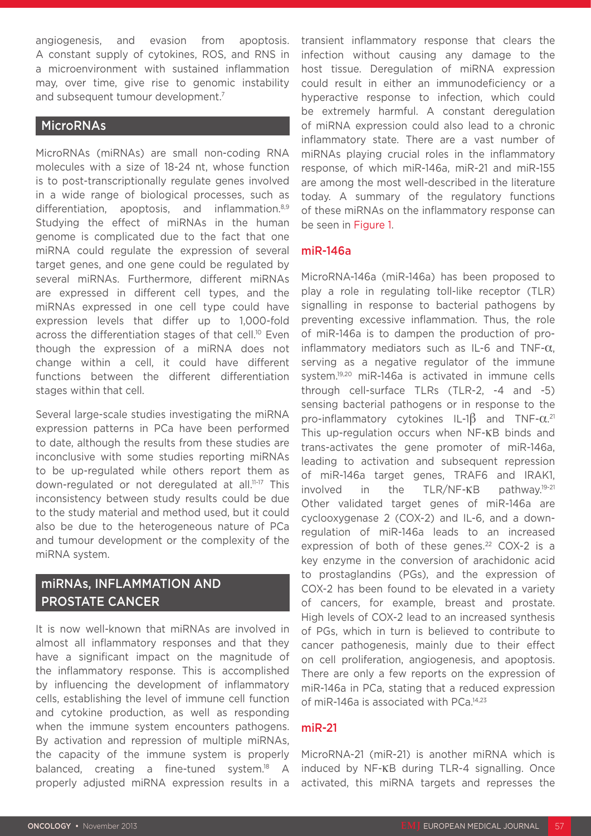angiogenesis, and evasion from apoptosis. A constant supply of cytokines, ROS, and RNS in a microenvironment with sustained inflammation may, over time, give rise to genomic instability and subsequent tumour development.<sup>7</sup>

### MicroRNAs

MicroRNAs (miRNAs) are small non-coding RNA molecules with a size of 18-24 nt, whose function is to post-transcriptionally regulate genes involved in a wide range of biological processes, such as differentiation, apoptosis, and inflammation.<sup>8,9</sup> Studying the effect of miRNAs in the human genome is complicated due to the fact that one miRNA could regulate the expression of several target genes, and one gene could be regulated by several miRNAs. Furthermore, different miRNAs are expressed in different cell types, and the miRNAs expressed in one cell type could have expression levels that differ up to 1,000-fold across the differentiation stages of that cell.<sup>10</sup> Even though the expression of a miRNA does not change within a cell, it could have different functions between the different differentiation stages within that cell.

Several large-scale studies investigating the miRNA expression patterns in PCa have been performed to date, although the results from these studies are inconclusive with some studies reporting miRNAs to be up-regulated while others report them as down-regulated or not deregulated at all.11-17 This inconsistency between study results could be due to the study material and method used, but it could also be due to the heterogeneous nature of PCa and tumour development or the complexity of the miRNA system.

# miRNAs, INFLAMMATION AND PROSTATE CANCER

It is now well-known that miRNAs are involved in almost all inflammatory responses and that they have a significant impact on the magnitude of the inflammatory response. This is accomplished by influencing the development of inflammatory cells, establishing the level of immune cell function and cytokine production, as well as responding when the immune system encounters pathogens. By activation and repression of multiple miRNAs, the capacity of the immune system is properly balanced, creating a fine-tuned system.<sup>18</sup> A properly adjusted miRNA expression results in a

transient inflammatory response that clears the infection without causing any damage to the host tissue. Deregulation of miRNA expression could result in either an immunodeficiency or a hyperactive response to infection, which could be extremely harmful. A constant deregulation of miRNA expression could also lead to a chronic inflammatory state. There are a vast number of miRNAs playing crucial roles in the inflammatory response, of which miR-146a, miR-21 and miR-155 are among the most well-described in the literature today. A summary of the regulatory functions of these miRNAs on the inflammatory response can be seen in Figure 1.

### miR-146a

MicroRNA-146a (miR-146a) has been proposed to play a role in regulating toll-like receptor (TLR) signalling in response to bacterial pathogens by preventing excessive inflammation. Thus, the role of miR-146a is to dampen the production of proinflammatory mediators such as IL-6 and TNF- $\alpha$ . serving as a negative regulator of the immune system.19,20 miR-146a is activated in immune cells through cell-surface TLRs (TLR-2, -4 and -5) sensing bacterial pathogens or in response to the pro-inflammatory cytokines IL-1 $\beta$  and TNF- $\alpha$ .<sup>21</sup> This up-regulation occurs when NF-κB binds and trans-activates the gene promoter of miR-146a, leading to activation and subsequent repression of miR-146a target genes, TRAF6 and IRAK1, involved in the TLR/NF-κB pathway.19-21 Other validated target genes of miR-146a are cyclooxygenase 2 (COX-2) and IL-6, and a downregulation of miR-146a leads to an increased expression of both of these genes.<sup>22</sup> COX-2 is a key enzyme in the conversion of arachidonic acid to prostaglandins (PGs), and the expression of COX-2 has been found to be elevated in a variety of cancers, for example, breast and prostate. High levels of COX-2 lead to an increased synthesis of PGs, which in turn is believed to contribute to cancer pathogenesis, mainly due to their effect on cell proliferation, angiogenesis, and apoptosis. There are only a few reports on the expression of miR-146a in PCa, stating that a reduced expression of miR-146a is associated with PCa.14,23

#### miR-21

MicroRNA-21 (miR-21) is another miRNA which is induced by NF-κB during TLR-4 signalling. Once activated, this miRNA targets and represses the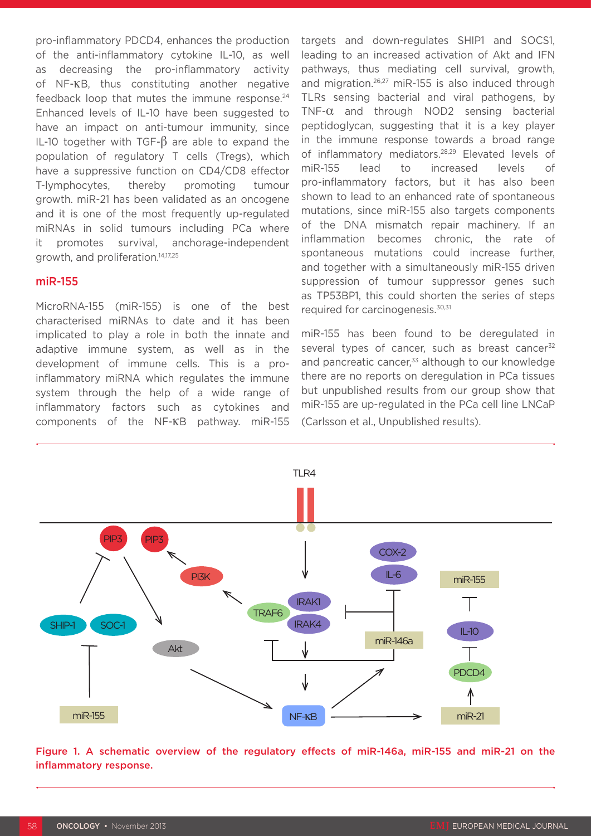pro-inflammatory PDCD4, enhances the production of the anti-inflammatory cytokine IL-10, as well as decreasing the pro-inflammatory activity of NF-κB, thus constituting another negative feedback loop that mutes the immune response.<sup>24</sup> Enhanced levels of IL-10 have been suggested to have an impact on anti-tumour immunity, since IL-10 together with TGF-β are able to expand the population of regulatory T cells (Tregs), which have a suppressive function on CD4/CD8 effector T-lymphocytes, thereby promoting tumour growth. miR-21 has been validated as an oncogene and it is one of the most frequently up-regulated miRNAs in solid tumours including PCa where it promotes survival, anchorage-independent growth, and proliferation.14,17,25

### miR-155

MicroRNA-155 (miR-155) is one of the best characterised miRNAs to date and it has been implicated to play a role in both the innate and adaptive immune system, as well as in the development of immune cells. This is a proinflammatory miRNA which regulates the immune system through the help of a wide range of inflammatory factors such as cytokines and components of the NF-κB pathway. miR-155

targets and down-regulates SHIP1 and SOCS1, leading to an increased activation of Akt and IFN pathways, thus mediating cell survival, growth, and migration.26,27 miR-155 is also induced through TLRs sensing bacterial and viral pathogens, by  $TNF-\alpha$  and through NOD2 sensing bacterial peptidoglycan, suggesting that it is a key player in the immune response towards a broad range of inflammatory mediators.28,29 Elevated levels of miR-155 lead to increased levels of pro-inflammatory factors, but it has also been shown to lead to an enhanced rate of spontaneous mutations, since miR-155 also targets components of the DNA mismatch repair machinery. If an inflammation becomes chronic, the rate of spontaneous mutations could increase further, and together with a simultaneously miR-155 driven suppression of tumour suppressor genes such as TP53BP1, this could shorten the series of steps required for carcinogenesis.30,31

miR-155 has been found to be deregulated in several types of cancer, such as breast cancer $32$ and pancreatic cancer, $33$  although to our knowledge there are no reports on deregulation in PCa tissues but unpublished results from our group show that miR-155 are up-regulated in the PCa cell line LNCaP (Carlsson et al., Unpublished results).



Figure 1. A schematic overview of the regulatory effects of miR-146a, miR-155 and miR-21 on the inflammatory response.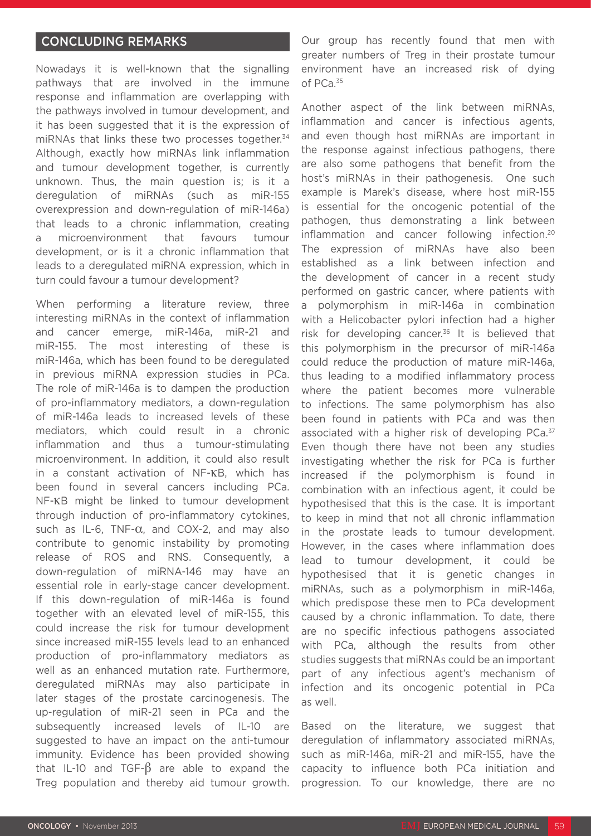### CONCLUDING REMARKS

Nowadays it is well-known that the signalling pathways that are involved in the immune response and inflammation are overlapping with the pathways involved in tumour development, and it has been suggested that it is the expression of miRNAs that links these two processes together.<sup>34</sup> Although, exactly how miRNAs link inflammation and tumour development together, is currently unknown. Thus, the main question is; is it a deregulation of miRNAs (such as miR-155 overexpression and down-regulation of miR-146a) that leads to a chronic inflammation, creating a microenvironment that favours tumour development, or is it a chronic inflammation that leads to a deregulated miRNA expression, which in turn could favour a tumour development?

When performing a literature review, three interesting miRNAs in the context of inflammation and cancer emerge, miR-146a, miR-21 and miR-155. The most interesting of these is miR-146a, which has been found to be deregulated in previous miRNA expression studies in PCa. The role of miR-146a is to dampen the production of pro-inflammatory mediators, a down-regulation of miR-146a leads to increased levels of these mediators, which could result in a chronic inflammation and thus a tumour-stimulating microenvironment. In addition, it could also result in a constant activation of NF-κB, which has been found in several cancers including PCa. NF-κB might be linked to tumour development through induction of pro-inflammatory cytokines, such as IL-6, TNF- $\alpha$ , and COX-2, and may also contribute to genomic instability by promoting release of ROS and RNS. Consequently, a down-regulation of miRNA-146 may have an essential role in early-stage cancer development. If this down-regulation of miR-146a is found together with an elevated level of miR-155, this could increase the risk for tumour development since increased miR-155 levels lead to an enhanced production of pro-inflammatory mediators as well as an enhanced mutation rate. Furthermore, deregulated miRNAs may also participate in later stages of the prostate carcinogenesis. The up-regulation of miR-21 seen in PCa and the subsequently increased levels of IL-10 are suggested to have an impact on the anti-tumour immunity. Evidence has been provided showing that IL-10 and TGF- $\beta$  are able to expand the Treg population and thereby aid tumour growth.

Our group has recently found that men with greater numbers of Treg in their prostate tumour environment have an increased risk of dying of PCa.35

Another aspect of the link between miRNAs, inflammation and cancer is infectious agents, and even though host miRNAs are important in the response against infectious pathogens, there are also some pathogens that benefit from the host's miRNAs in their pathogenesis. One such example is Marek's disease, where host miR-155 is essential for the oncogenic potential of the pathogen, thus demonstrating a link between inflammation and cancer following infection.20 The expression of miRNAs have also been established as a link between infection and the development of cancer in a recent study performed on gastric cancer, where patients with a polymorphism in miR-146a in combination with a Helicobacter pylori infection had a higher risk for developing cancer.36 It is believed that this polymorphism in the precursor of miR-146a could reduce the production of mature miR-146a, thus leading to a modified inflammatory process where the patient becomes more vulnerable to infections. The same polymorphism has also been found in patients with PCa and was then associated with a higher risk of developing PCa.<sup>37</sup> Even though there have not been any studies investigating whether the risk for PCa is further increased if the polymorphism is found in combination with an infectious agent, it could be hypothesised that this is the case. It is important to keep in mind that not all chronic inflammation in the prostate leads to tumour development. However, in the cases where inflammation does lead to tumour development, it could be hypothesised that it is genetic changes in miRNAs, such as a polymorphism in miR-146a, which predispose these men to PCa development caused by a chronic inflammation. To date, there are no specific infectious pathogens associated with PCa, although the results from other studies suggests that miRNAs could be an important part of any infectious agent's mechanism of infection and its oncogenic potential in PCa as well.

Based on the literature, we suggest that deregulation of inflammatory associated miRNAs, such as miR-146a, miR-21 and miR-155, have the capacity to influence both PCa initiation and progression. To our knowledge, there are no